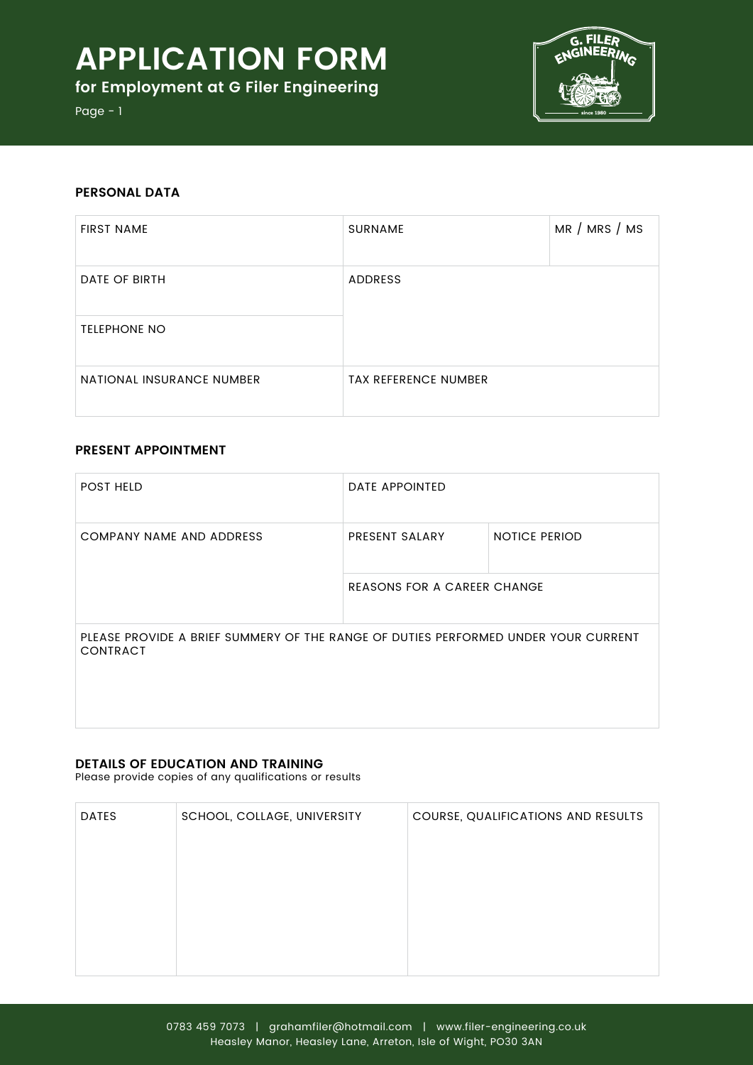# **Application Form**

**for Employment at G Filer Engineering**



Page - 1

## **PERSONAL DATA**

| <b>FIRST NAME</b>         | <b>SURNAME</b>              | MR / MRS / MS |
|---------------------------|-----------------------------|---------------|
| DATE OF BIRTH             | <b>ADDRESS</b>              |               |
| <b>TELEPHONE NO</b>       |                             |               |
| NATIONAL INSURANCE NUMBER | <b>TAX REFERENCE NUMBER</b> |               |

# **Present Appointment**

| <b>POST HELD</b>                                                                                      | <b>DATE APPOINTED</b>              |                      |
|-------------------------------------------------------------------------------------------------------|------------------------------------|----------------------|
| COMPANY NAME AND ADDRESS                                                                              | PRESENT SALARY                     | <b>NOTICE PERIOD</b> |
|                                                                                                       | <b>REASONS FOR A CAREER CHANGE</b> |                      |
| PLEASE PROVIDE A BRIEF SUMMERY OF THE RANGE OF DUTIES PERFORMED UNDER YOUR CURRENT<br><b>CONTRACT</b> |                                    |                      |

## **Details of Education and Training**

Please provide copies of any qualifications or results

| <b>DATES</b> | SCHOOL, COLLAGE, UNIVERSITY | COURSE, QUALIFICATIONS AND RESULTS |
|--------------|-----------------------------|------------------------------------|
|              |                             |                                    |
|              |                             |                                    |
|              |                             |                                    |
|              |                             |                                    |
|              |                             |                                    |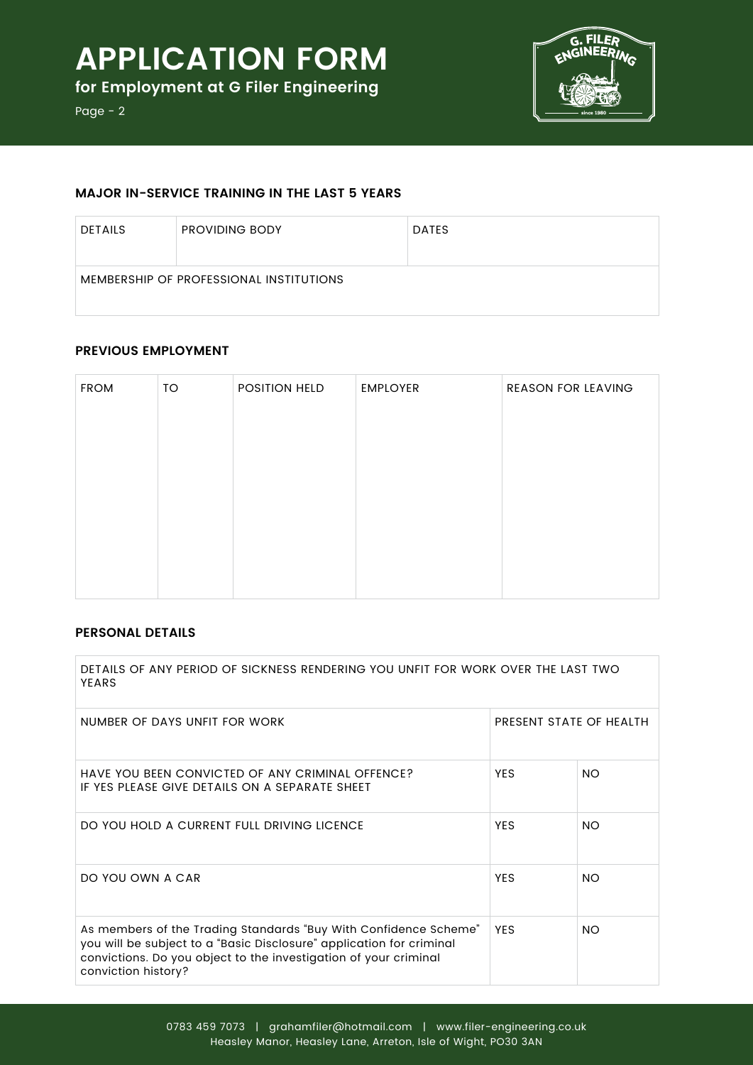

Page - 2

# **Major in-service training in the last 5 years**

| <b>DETAILS</b>                          | <b>PROVIDING BODY</b> | <b>DATES</b> |
|-----------------------------------------|-----------------------|--------------|
| MEMBERSHIP OF PROFESSIONAL INSTITUTIONS |                       |              |

# **Previous employment**

| <b>FROM</b> | TO | POSITION HELD | <b>EMPLOYER</b> | <b>REASON FOR LEAVING</b> |
|-------------|----|---------------|-----------------|---------------------------|
|             |    |               |                 |                           |
|             |    |               |                 |                           |
|             |    |               |                 |                           |
|             |    |               |                 |                           |
|             |    |               |                 |                           |
|             |    |               |                 |                           |
|             |    |               |                 |                           |

# **Personal details**

| DETAILS OF ANY PERIOD OF SICKNESS RENDERING YOU UNFIT FOR WORK OVER THE LAST TWO<br>YFARS                                                                                                                                           |                         |           |
|-------------------------------------------------------------------------------------------------------------------------------------------------------------------------------------------------------------------------------------|-------------------------|-----------|
| NUMBER OF DAYS UNFIT FOR WORK                                                                                                                                                                                                       | PRESENT STATE OF HEALTH |           |
| HAVE YOU BEEN CONVICTED OF ANY CRIMINAL OFFENCE?<br>IF YES PLEASE GIVE DETAILS ON A SEPARATE SHEET                                                                                                                                  | <b>YES</b>              | <b>NO</b> |
| DO YOU HOLD A CURRENT FULL DRIVING LICENCE                                                                                                                                                                                          | <b>YES</b>              | <b>NO</b> |
| DO YOU OWN A CAR                                                                                                                                                                                                                    | <b>YES</b>              | <b>NO</b> |
| As members of the Trading Standards "Buy With Confidence Scheme"<br>you will be subject to a "Basic Disclosure" application for criminal<br>convictions. Do you object to the investigation of your criminal<br>conviction history? | <b>YES</b>              | <b>NO</b> |